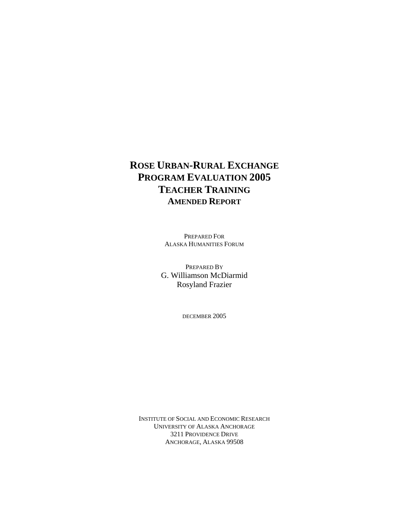# **ROSE URBAN-RURAL EXCHANGE PROGRAM EVALUATION 2005 TEACHER TRAINING AMENDED REPORT**

PREPARED FOR ALASKA HUMANITIES FORUM

PREPARED BY G. Williamson McDiarmid Rosyland Frazier

DECEMBER 2005

INSTITUTE OF SOCIAL AND ECONOMIC RESEARCH UNIVERSITY OF ALASKA ANCHORAGE 3211 PROVIDENCE DRIVE ANCHORAGE, ALASKA 99508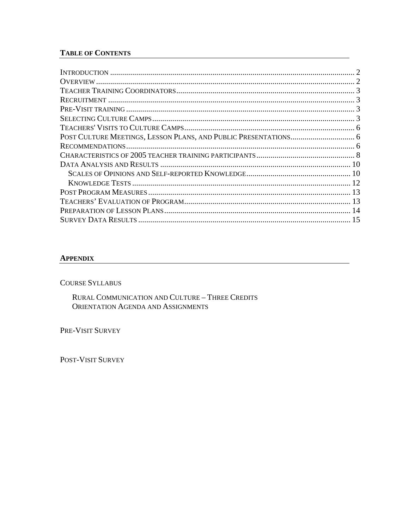# **TABLE OF CONTENTS**

#### **APPENDIX**

**COURSE SYLLABUS** 

RURAL COMMUNICATION AND CULTURE - THREE CREDITS ORIENTATION AGENDA AND ASSIGNMENTS

PRE-VISIT SURVEY

POST-VISIT SURVEY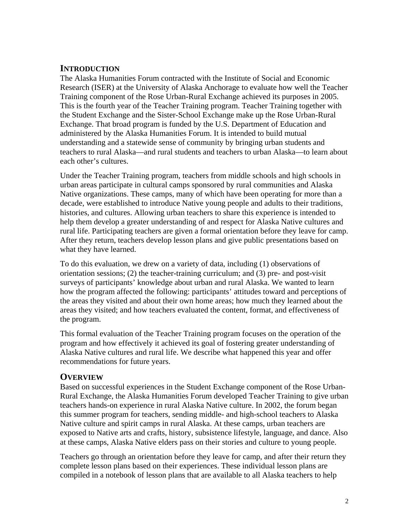# <span id="page-2-0"></span>**INTRODUCTION**

The Alaska Humanities Forum contracted with the Institute of Social and Economic Research (ISER) at the University of Alaska Anchorage to evaluate how well the Teacher Training component of the Rose Urban-Rural Exchange achieved its purposes in 2005. This is the fourth year of the Teacher Training program. Teacher Training together with the Student Exchange and the Sister-School Exchange make up the Rose Urban-Rural Exchange. That broad program is funded by the U.S. Department of Education and administered by the Alaska Humanities Forum. It is intended to build mutual understanding and a statewide sense of community by bringing urban students and teachers to rural Alaska—and rural students and teachers to urban Alaska—to learn about each other's cultures.

Under the Teacher Training program, teachers from middle schools and high schools in urban areas participate in cultural camps sponsored by rural communities and Alaska Native organizations. These camps, many of which have been operating for more than a decade, were established to introduce Native young people and adults to their traditions, histories, and cultures. Allowing urban teachers to share this experience is intended to help them develop a greater understanding of and respect for Alaska Native cultures and rural life. Participating teachers are given a formal orientation before they leave for camp. After they return, teachers develop lesson plans and give public presentations based on what they have learned.

To do this evaluation, we drew on a variety of data, including (1) observations of orientation sessions; (2) the teacher-training curriculum; and (3) pre- and post-visit surveys of participants' knowledge about urban and rural Alaska. We wanted to learn how the program affected the following: participants' attitudes toward and perceptions of the areas they visited and about their own home areas; how much they learned about the areas they visited; and how teachers evaluated the content, format, and effectiveness of the program.

This formal evaluation of the Teacher Training program focuses on the operation of the program and how effectively it achieved its goal of fostering greater understanding of Alaska Native cultures and rural life. We describe what happened this year and offer recommendations for future years.

# **OVERVIEW**

Based on successful experiences in the Student Exchange component of the Rose Urban-Rural Exchange, the Alaska Humanities Forum developed Teacher Training to give urban teachers hands-on experience in rural Alaska Native culture. In 2002, the forum began this summer program for teachers, sending middle- and high-school teachers to Alaska Native culture and spirit camps in rural Alaska. At these camps, urban teachers are exposed to Native arts and crafts, history, subsistence lifestyle, language, and dance. Also at these camps, Alaska Native elders pass on their stories and culture to young people.

Teachers go through an orientation before they leave for camp, and after their return they complete lesson plans based on their experiences. These individual lesson plans are compiled in a notebook of lesson plans that are available to all Alaska teachers to help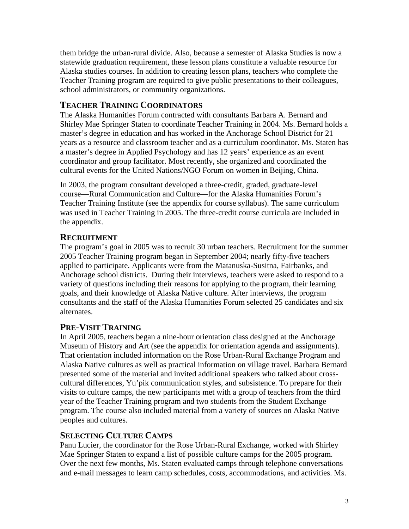<span id="page-3-0"></span>them bridge the urban-rural divide. Also, because a semester of Alaska Studies is now a statewide graduation requirement, these lesson plans constitute a valuable resource for Alaska studies courses. In addition to creating lesson plans, teachers who complete the Teacher Training program are required to give public presentations to their colleagues, school administrators, or community organizations.

# **TEACHER TRAINING COORDINATORS**

The Alaska Humanities Forum contracted with consultants Barbara A. Bernard and Shirley Mae Springer Staten to coordinate Teacher Training in 2004. Ms. Bernard holds a master's degree in education and has worked in the Anchorage School District for 21 years as a resource and classroom teacher and as a curriculum coordinator. Ms. Staten has a master's degree in Applied Psychology and has 12 years' experience as an event coordinator and group facilitator. Most recently, she organized and coordinated the cultural events for the United Nations/NGO Forum on women in Beijing, China.

In 2003, the program consultant developed a three-credit, graded, graduate-level course—Rural Communication and Culture—for the Alaska Humanities Forum's Teacher Training Institute (see the appendix for course syllabus). The same curriculum was used in Teacher Training in 2005. The three-credit course curricula are included in the appendix.

# **RECRUITMENT**

The program's goal in 2005 was to recruit 30 urban teachers. Recruitment for the summer 2005 Teacher Training program began in September 2004; nearly fifty-five teachers applied to participate. Applicants were from the Matanuska-Susitna, Fairbanks, and Anchorage school districts. During their interviews, teachers were asked to respond to a variety of questions including their reasons for applying to the program, their learning goals, and their knowledge of Alaska Native culture. After interviews, the program consultants and the staff of the Alaska Humanities Forum selected 25 candidates and six alternates.

# **PRE-VISIT TRAINING**

In April 2005, teachers began a nine-hour orientation class designed at the Anchorage Museum of History and Art (see the appendix for orientation agenda and assignments). That orientation included information on the Rose Urban-Rural Exchange Program and Alaska Native cultures as well as practical information on village travel. Barbara Bernard presented some of the material and invited additional speakers who talked about crosscultural differences, Yu'pik communication styles, and subsistence. To prepare for their visits to culture camps, the new participants met with a group of teachers from the third year of the Teacher Training program and two students from the Student Exchange program. The course also included material from a variety of sources on Alaska Native peoples and cultures.

# **SELECTING CULTURE CAMPS**

Panu Lucier, the coordinator for the Rose Urban-Rural Exchange, worked with Shirley Mae Springer Staten to expand a list of possible culture camps for the 2005 program. Over the next few months, Ms. Staten evaluated camps through telephone conversations and e-mail messages to learn camp schedules, costs, accommodations, and activities. Ms.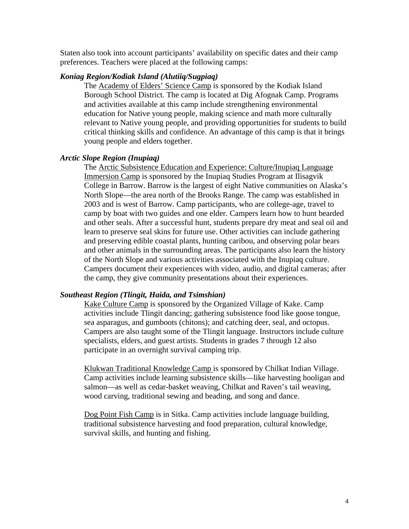Staten also took into account participants' availability on specific dates and their camp preferences. Teachers were placed at the following camps:

#### *Koniag Region/Kodiak Island (Alutiiq/Sugpiaq)*

The Academy of Elders' Science Camp is sponsored by the Kodiak Island Borough School District. The camp is located at Dig Afognak Camp. Programs and activities available at this camp include strengthening environmental education for Native young people, making science and math more culturally relevant to Native young people, and providing opportunities for students to build critical thinking skills and confidence. An advantage of this camp is that it brings young people and elders together.

#### *Arctic Slope Region (Inupiaq)*

The Arctic Subsistence Education and Experience: Culture/Inupiaq Language Immersion Camp is sponsored by the Inupiaq Studies Program at Ilisagvik College in Barrow. Barrow is the largest of eight Native communities on Alaska's North Slope—the area north of the Brooks Range. The camp was established in 2003 and is west of Barrow. Camp participants, who are college-age, travel to camp by boat with two guides and one elder. Campers learn how to hunt bearded and other seals. After a successful hunt, students prepare dry meat and seal oil and learn to preserve seal skins for future use. Other activities can include gathering and preserving edible coastal plants, hunting caribou, and observing polar bears and other animals in the surrounding areas. The participants also learn the history of the North Slope and various activities associated with the Inupiaq culture. Campers document their experiences with video, audio, and digital cameras; after the camp, they give community presentations about their experiences.

#### *Southeast Region (Tlingit, Haida, and Tsimshian)*

Kake Culture Camp is sponsored by the Organized Village of Kake. Camp activities include Tlingit dancing; gathering subsistence food like goose tongue, sea asparagus, and gumboots (chitons); and catching deer, seal, and octopus. Campers are also taught some of the Tlingit language. Instructors include culture specialists, elders, and guest artists. Students in grades 7 through 12 also participate in an overnight survival camping trip.

Klukwan Traditional Knowledge Camp is sponsored by Chilkat Indian Village. Camp activities include learning subsistence skills—like harvesting hooligan and salmon—as well as cedar-basket weaving, Chilkat and Raven's tail weaving, wood carving, traditional sewing and beading, and song and dance.

Dog Point Fish Camp is in Sitka. Camp activities include language building, traditional subsistence harvesting and food preparation, cultural knowledge, survival skills, and hunting and fishing.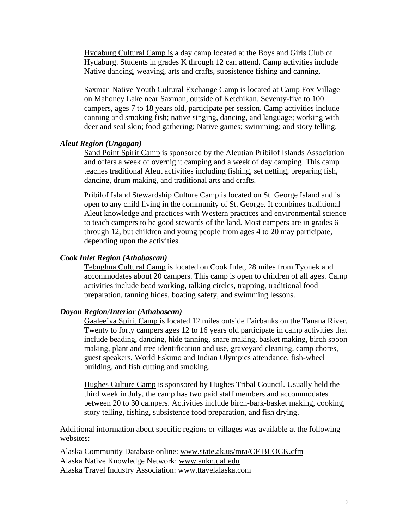Hydaburg Cultural Camp is a day camp located at the Boys and Girls Club of Hydaburg. Students in grades K through 12 can attend. Camp activities include Native dancing, weaving, arts and crafts, subsistence fishing and canning.

Saxman Native Youth Cultural Exchange Camp is located at Camp Fox Village on Mahoney Lake near Saxman, outside of Ketchikan. Seventy-five to 100 campers, ages 7 to 18 years old, participate per session. Camp activities include canning and smoking fish; native singing, dancing, and language; working with deer and seal skin; food gathering; Native games; swimming; and story telling.

#### *Aleut Region (Ungagan)*

Sand Point Spirit Camp is sponsored by the Aleutian Pribilof Islands Association and offers a week of overnight camping and a week of day camping. This camp teaches traditional Aleut activities including fishing, set netting, preparing fish, dancing, drum making, and traditional arts and crafts.

Pribilof Island Stewardship Culture Camp is located on St. George Island and is open to any child living in the community of St. George. It combines traditional Aleut knowledge and practices with Western practices and environmental science to teach campers to be good stewards of the land. Most campers are in grades 6 through 12, but children and young people from ages 4 to 20 may participate, depending upon the activities.

#### *Cook Inlet Region (Athabascan)*

Tebughna Cultural Camp is located on Cook Inlet, 28 miles from Tyonek and accommodates about 20 campers. This camp is open to children of all ages. Camp activities include bead working, talking circles, trapping, traditional food preparation, tanning hides, boating safety, and swimming lessons.

## *Doyon Region/Interior (Athabascan)*

Gaalee'ya Spirit Camp is located 12 miles outside Fairbanks on the Tanana River. Twenty to forty campers ages 12 to 16 years old participate in camp activities that include beading, dancing, hide tanning, snare making, basket making, birch spoon making, plant and tree identification and use, graveyard cleaning, camp chores, guest speakers, World Eskimo and Indian Olympics attendance, fish-wheel building, and fish cutting and smoking.

Hughes Culture Camp is sponsored by Hughes Tribal Council. Usually held the third week in July, the camp has two paid staff members and accommodates between 20 to 30 campers. Activities include birch-bark-basket making, cooking, story telling, fishing, subsistence food preparation, and fish drying.

Additional information about specific regions or villages was available at the following websites:

Alaska Community Database online: www.state.ak.us/mra/CF BLOCK.cfm Alaska Native Knowledge Network: www.ankn.uaf.edu Alaska Travel Industry Association: www.ttavelalaska.com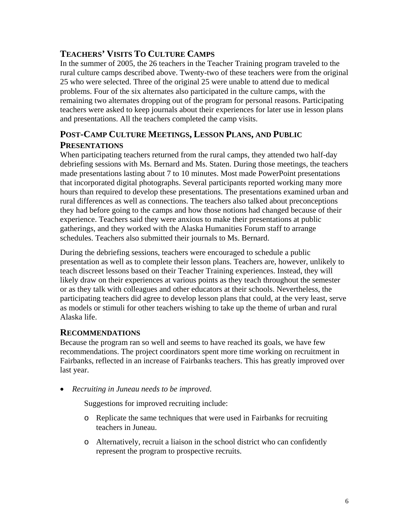# <span id="page-6-0"></span>**TEACHERS' VISITS TO CULTURE CAMPS**

In the summer of 2005, the 26 teachers in the Teacher Training program traveled to the rural culture camps described above. Twenty-two of these teachers were from the original 25 who were selected. Three of the original 25 were unable to attend due to medical problems. Four of the six alternates also participated in the culture camps, with the remaining two alternates dropping out of the program for personal reasons. Participating teachers were asked to keep journals about their experiences for later use in lesson plans and presentations. All the teachers completed the camp visits.

# **POST-CAMP CULTURE MEETINGS, LESSON PLANS, AND PUBLIC PRESENTATIONS**

When participating teachers returned from the rural camps, they attended two half-day debriefing sessions with Ms. Bernard and Ms. Staten. During those meetings, the teachers made presentations lasting about 7 to 10 minutes. Most made PowerPoint presentations that incorporated digital photographs. Several participants reported working many more hours than required to develop these presentations. The presentations examined urban and rural differences as well as connections. The teachers also talked about preconceptions they had before going to the camps and how those notions had changed because of their experience. Teachers said they were anxious to make their presentations at public gatherings, and they worked with the Alaska Humanities Forum staff to arrange schedules. Teachers also submitted their journals to Ms. Bernard.

During the debriefing sessions, teachers were encouraged to schedule a public presentation as well as to complete their lesson plans. Teachers are, however, unlikely to teach discreet lessons based on their Teacher Training experiences. Instead, they will likely draw on their experiences at various points as they teach throughout the semester or as they talk with colleagues and other educators at their schools. Nevertheless, the participating teachers did agree to develop lesson plans that could, at the very least, serve as models or stimuli for other teachers wishing to take up the theme of urban and rural Alaska life.

# **RECOMMENDATIONS**

Because the program ran so well and seems to have reached its goals, we have few recommendations. The project coordinators spent more time working on recruitment in Fairbanks, reflected in an increase of Fairbanks teachers. This has greatly improved over last year.

• *Recruiting in Juneau needs to be improved*.

Suggestions for improved recruiting include:

- o Replicate the same techniques that were used in Fairbanks for recruiting teachers in Juneau.
- o Alternatively, recruit a liaison in the school district who can confidently represent the program to prospective recruits.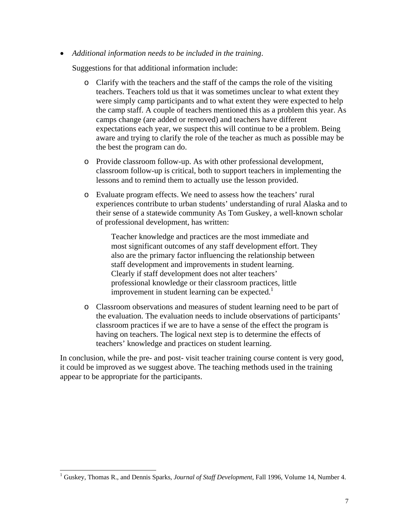• *Additional information needs to be included in the training*.

Suggestions for that additional information include:

- o Clarify with the teachers and the staff of the camps the role of the visiting teachers. Teachers told us that it was sometimes unclear to what extent they were simply camp participants and to what extent they were expected to help the camp staff. A couple of teachers mentioned this as a problem this year. As camps change (are added or removed) and teachers have different expectations each year, we suspect this will continue to be a problem. Being aware and trying to clarify the role of the teacher as much as possible may be the best the program can do.
- o Provide classroom follow-up. As with other professional development, classroom follow-up is critical, both to support teachers in implementing the lessons and to remind them to actually use the lesson provided.
- o Evaluate program effects. We need to assess how the teachers' rural experiences contribute to urban students' understanding of rural Alaska and to their sense of a statewide community As Tom Guskey, a well-known scholar of professional development, has written:

Teacher knowledge and practices are the most immediate and most significant outcomes of any staff development effort. They also are the primary factor influencing the relationship between staff development and improvements in student learning. Clearly if staff development does not alter teachers' professional knowledge or their classroom practices, little improvement in student learning can be expected. $<sup>1</sup>$  $<sup>1</sup>$  $<sup>1</sup>$ </sup>

o Classroom observations and measures of student learning need to be part of the evaluation. The evaluation needs to include observations of participants' classroom practices if we are to have a sense of the effect the program is having on teachers. The logical next step is to determine the effects of teachers' knowledge and practices on student learning.

In conclusion, while the pre- and post- visit teacher training course content is very good, it could be improved as we suggest above. The teaching methods used in the training appear to be appropriate for the participants.

<span id="page-7-0"></span> $\frac{1}{1}$ <sup>1</sup> Guskey, Thomas R., and Dennis Sparks, *Journal of Staff Development*, Fall 1996, Volume 14, Number 4.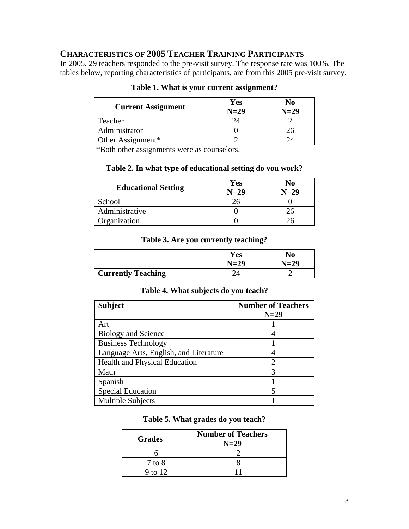# **CHARACTERISTICS OF 2005 TEACHER TRAINING PARTICIPANTS**

In 2005, 29 teachers responded to the pre-visit survey. The response rate was 100%. The tables below, reporting characteristics of participants, are from this 2005 pre-visit survey.

| <b>Current Assignment</b> | Yes<br>$N=29$ | No<br>$N=29$ |
|---------------------------|---------------|--------------|
| Teacher                   |               |              |
| Administrator             |               |              |
| Other Assignment*         |               |              |

# **Table 1. What is your current assignment?**

\*Both other assignments were as counselors.

# **Table 2. In what type of educational setting do you work?**

| <b>Educational Setting</b> | Yes<br>$N=29$ | No<br>$N=29$ |
|----------------------------|---------------|--------------|
| School                     |               |              |
| Administrative             |               |              |
| Organization               |               |              |

## **Table 3. Are you currently teaching?**

|                           | Yes<br>N=29 | No<br>$N=29$ |
|---------------------------|-------------|--------------|
| <b>Currently Teaching</b> |             |              |

## **Table 4. What subjects do you teach?**

| <b>Subject</b>                         | <b>Number of Teachers</b><br>$N=29$ |
|----------------------------------------|-------------------------------------|
| Art                                    |                                     |
| <b>Biology and Science</b>             |                                     |
| <b>Business Technology</b>             |                                     |
| Language Arts, English, and Literature |                                     |
| Health and Physical Education          | っ                                   |
| Math                                   | 3                                   |
| Spanish                                |                                     |
| <b>Special Education</b>               |                                     |
| <b>Multiple Subjects</b>               |                                     |

# **Table 5. What grades do you teach?**

| <b>Grades</b> | <b>Number of Teachers</b><br>$N=29$ |
|---------------|-------------------------------------|
|               |                                     |
| $7$ to $8$    |                                     |
| 9 to 12       |                                     |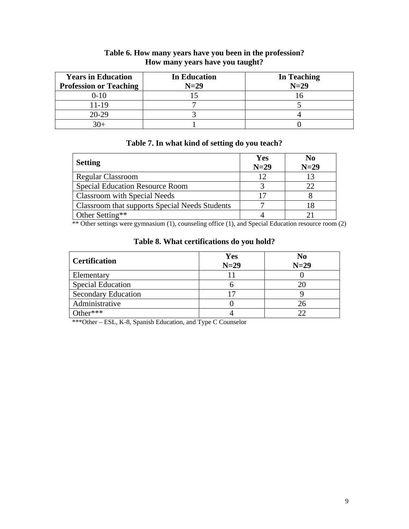| <b>Years in Education</b><br><b>Profession or Teaching</b> | <b>In Education</b><br>$N=29$ | In Teaching<br>$N=29$ |
|------------------------------------------------------------|-------------------------------|-----------------------|
| $0 - 10$                                                   |                               |                       |
| 11-19                                                      |                               |                       |
| $20-29$                                                    |                               |                       |
|                                                            |                               |                       |

# **Table 6. How many years have you been in the profession? How many years have you taught?**

# **Table 7. In what kind of setting do you teach?**

| <b>Setting</b>                                 | Yes<br>$N=29$ | $\bf No$<br>$N=29$ |
|------------------------------------------------|---------------|--------------------|
| <b>Regular Classroom</b>                       | 12            |                    |
| <b>Special Education Resource Room</b>         |               |                    |
| Classroom with Special Needs                   |               |                    |
| Classroom that supports Special Needs Students |               |                    |
| Other Setting**                                |               |                    |

\*\* Other settings were gymnasium (1), counseling office (1), and Special Education resource room (2)

| Table 8. What certifications do you hold? |  |
|-------------------------------------------|--|
|-------------------------------------------|--|

| <b>Certification</b>       | Yes<br>$N=29$ | N <sub>0</sub><br>$N=29$ |
|----------------------------|---------------|--------------------------|
| Elementary                 |               |                          |
| <b>Special Education</b>   |               |                          |
| <b>Secondary Education</b> |               |                          |
| Administrative             |               | 26                       |
| Other***                   |               | つつ                       |

\*\*\*Other – ESL, K-8, Spanish Education, and Type C Counselor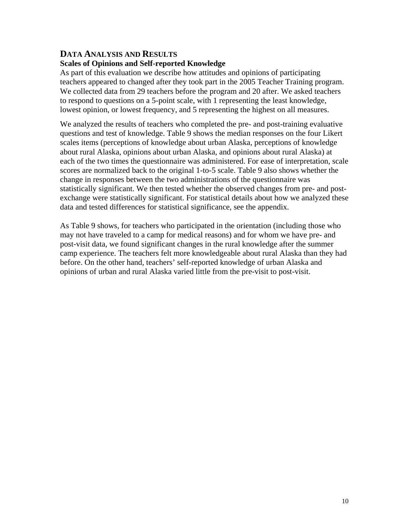## **DATA ANALYSIS AND RESULTS Scales of Opinions and Self-reported Knowledge**

As part of this evaluation we describe how attitudes and opinions of participating teachers appeared to changed after they took part in the 2005 Teacher Training program. We collected data from 29 teachers before the program and 20 after. We asked teachers to respond to questions on a 5-point scale, with 1 representing the least knowledge, lowest opinion, or lowest frequency, and 5 representing the highest on all measures.

We analyzed the results of teachers who completed the pre- and post-training evaluative questions and test of knowledge. Table 9 shows the median responses on the four Likert scales items (perceptions of knowledge about urban Alaska, perceptions of knowledge about rural Alaska, opinions about urban Alaska, and opinions about rural Alaska) at each of the two times the questionnaire was administered. For ease of interpretation, scale scores are normalized back to the original 1-to-5 scale. Table 9 also shows whether the change in responses between the two administrations of the questionnaire was statistically significant. We then tested whether the observed changes from pre- and postexchange were statistically significant. For statistical details about how we analyzed these data and tested differences for statistical significance, see the appendix.

As Table 9 shows, for teachers who participated in the orientation (including those who may not have traveled to a camp for medical reasons) and for whom we have pre- and post-visit data, we found significant changes in the rural knowledge after the summer camp experience. The teachers felt more knowledgeable about rural Alaska than they had before. On the other hand, teachers' self-reported knowledge of urban Alaska and opinions of urban and rural Alaska varied little from the pre-visit to post-visit.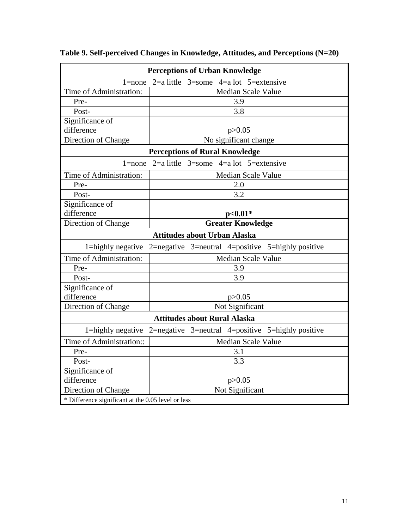| <b>Perceptions of Urban Knowledge</b>              |                                                                     |  |
|----------------------------------------------------|---------------------------------------------------------------------|--|
| $l = none$                                         | $2=a$ little<br>$3 =$ some $4 =$ a lot $5 =$ extensive              |  |
| Time of Administration:                            | <b>Median Scale Value</b>                                           |  |
| Pre-                                               | 3.9                                                                 |  |
| Post-                                              | 3.8                                                                 |  |
| Significance of                                    |                                                                     |  |
| difference                                         | p > 0.05                                                            |  |
| Direction of Change                                | No significant change                                               |  |
|                                                    | <b>Perceptions of Rural Knowledge</b>                               |  |
|                                                    | 1=none $2$ =a little $3$ =some $4$ =a lot $5$ =extensive            |  |
| Time of Administration:                            | <b>Median Scale Value</b>                                           |  |
| Pre-                                               | 2.0                                                                 |  |
| Post-                                              | 3.2                                                                 |  |
| Significance of                                    |                                                                     |  |
| difference                                         | $p<0.01*$                                                           |  |
| Direction of Change                                | <b>Greater Knowledge</b>                                            |  |
|                                                    | <b>Attitudes about Urban Alaska</b>                                 |  |
|                                                    | 1=highly negative 2=negative 3=neutral 4=positive 5=highly positive |  |
| Time of Administration:                            | Median Scale Value                                                  |  |
| Pre-                                               | 3.9                                                                 |  |
| Post-                                              | 3.9                                                                 |  |
| Significance of                                    |                                                                     |  |
| difference                                         | p > 0.05                                                            |  |
| Direction of Change                                | Not Significant                                                     |  |
| <b>Attitudes about Rural Alaska</b>                |                                                                     |  |
|                                                    | 1=highly negative 2=negative 3=neutral 4=positive 5=highly positive |  |
| Time of Administration::                           | <b>Median Scale Value</b>                                           |  |
| Pre-                                               | 3.1                                                                 |  |
| Post-                                              | 3.3                                                                 |  |
| Significance of                                    |                                                                     |  |
| difference                                         | p > 0.05                                                            |  |
| Direction of Change                                | Not Significant                                                     |  |
| * Difference significant at the 0.05 level or less |                                                                     |  |

**Table 9. Self-perceived Changes in Knowledge, Attitudes, and Perceptions (N=20)**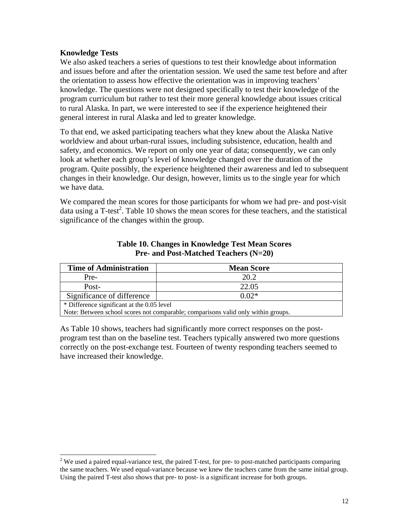## **Knowledge Tests**

We also asked teachers a series of questions to test their knowledge about information and issues before and after the orientation session. We used the same test before and after the orientation to assess how effective the orientation was in improving teachers' knowledge. The questions were not designed specifically to test their knowledge of the program curriculum but rather to test their more general knowledge about issues critical to rural Alaska. In part, we were interested to see if the experience heightened their general interest in rural Alaska and led to greater knowledge.

To that end, we asked participating teachers what they knew about the Alaska Native worldview and about urban-rural issues, including subsistence, education, health and safety, and economics. We report on only one year of data; consequently, we can only look at whether each group's level of knowledge changed over the duration of the program. Quite possibly, the experience heightened their awareness and led to subsequent changes in their knowledge. Our design, however, limits us to the single year for which we have data.

We compared the mean scores for those participants for whom we had pre- and post-visit data using a T-test<sup>[2](#page-12-0)</sup>. Table 10 shows the mean scores for these teachers, and the statistical significance of the changes within the group.

| <b>Time of Administration</b>                                                     | <b>Mean Score</b> |  |
|-----------------------------------------------------------------------------------|-------------------|--|
| Pre-                                                                              | 20.2              |  |
| Post-                                                                             | 22.05             |  |
| Significance of difference                                                        | $0.02*$           |  |
| * Difference significant at the 0.05 level                                        |                   |  |
| Note: Between school scores not comparable; comparisons valid only within groups. |                   |  |

## **Table 10. Changes in Knowledge Test Mean Scores Pre- and Post-Matched Teachers (N=20)**

As Table 10 shows, teachers had significantly more correct responses on the postprogram test than on the baseline test. Teachers typically answered two more questions correctly on the post-exchange test. Fourteen of twenty responding teachers seemed to have increased their knowledge.

<span id="page-12-0"></span> $2$  We used a paired equal-variance test, the paired T-test, for pre- to post-matched participants comparing the same teachers. We used equal-variance because we knew the teachers came from the same initial group. Using the paired T-test also shows that pre- to post- is a significant increase for both groups.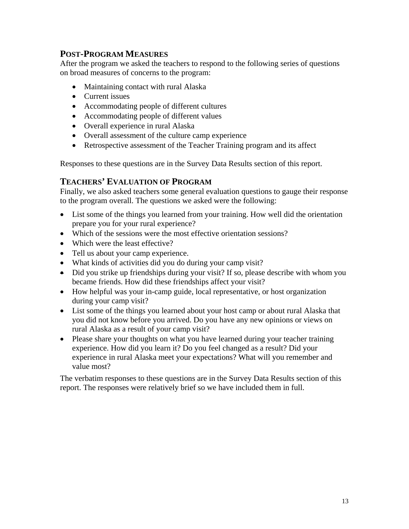# **POST-PROGRAM MEASURES**

After the program we asked the teachers to respond to the following series of questions on broad measures of concerns to the program:

- Maintaining contact with rural Alaska
- Current issues
- Accommodating people of different cultures
- Accommodating people of different values
- Overall experience in rural Alaska
- Overall assessment of the culture camp experience
- Retrospective assessment of the Teacher Training program and its affect

Responses to these questions are in the Survey Data Results section of this report.

# **TEACHERS' EVALUATION OF PROGRAM**

Finally, we also asked teachers some general evaluation questions to gauge their response to the program overall. The questions we asked were the following:

- List some of the things you learned from your training. How well did the orientation prepare you for your rural experience?
- Which of the sessions were the most effective orientation sessions?
- Which were the least effective?
- Tell us about your camp experience.
- What kinds of activities did you do during your camp visit?
- Did you strike up friendships during your visit? If so, please describe with whom you became friends. How did these friendships affect your visit?
- How helpful was your in-camp guide, local representative, or host organization during your camp visit?
- List some of the things you learned about your host camp or about rural Alaska that you did not know before you arrived. Do you have any new opinions or views on rural Alaska as a result of your camp visit?
- Please share your thoughts on what you have learned during your teacher training experience. How did you learn it? Do you feel changed as a result? Did your experience in rural Alaska meet your expectations? What will you remember and value most?

The verbatim responses to these questions are in the Survey Data Results section of this report. The responses were relatively brief so we have included them in full.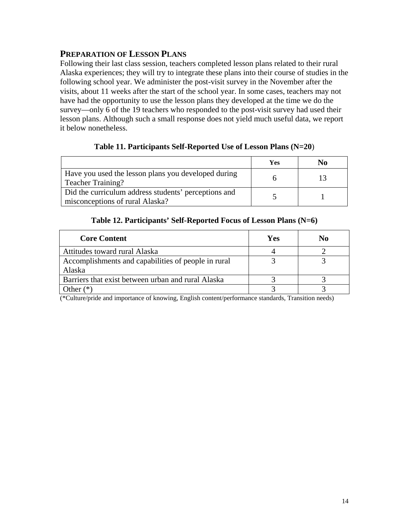# **PREPARATION OF LESSON PLANS**

Following their last class session, teachers completed lesson plans related to their rural Alaska experiences; they will try to integrate these plans into their course of studies in the following school year. We administer the post-visit survey in the November after the visits, about 11 weeks after the start of the school year. In some cases, teachers may not have had the opportunity to use the lesson plans they developed at the time we do the survey—only 6 of the 19 teachers who responded to the post-visit survey had used their lesson plans. Although such a small response does not yield much useful data, we report it below nonetheless.

|                                                                                         | Yes | No |
|-----------------------------------------------------------------------------------------|-----|----|
| Have you used the lesson plans you developed during<br><b>Teacher Training?</b>         |     |    |
| Did the curriculum address students' perceptions and<br>misconceptions of rural Alaska? |     |    |

# **Table 11. Participants Self-Reported Use of Lesson Plans (N=20**)

## **Table 12. Participants' Self-Reported Focus of Lesson Plans (N=6)**

| <b>Core Content</b>                                           | Yes | No |
|---------------------------------------------------------------|-----|----|
| Attitudes toward rural Alaska                                 |     |    |
| Accomplishments and capabilities of people in rural<br>Alaska |     |    |
| Barriers that exist between urban and rural Alaska            |     |    |
| )ther.                                                        |     |    |

(\*Culture/pride and importance of knowing, English content/performance standards, Transition needs)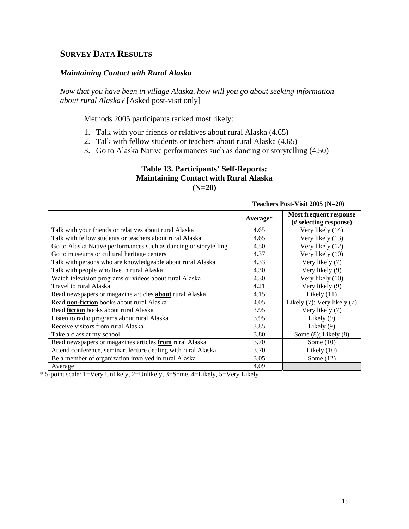# **SURVEY DATA RESULTS**

#### *Maintaining Contact with Rural Alaska*

*Now that you have been in village Alaska, how will you go about seeking information about rural Alaska?* [Asked post-visit only]

Methods 2005 participants ranked most likely:

- 1. Talk with your friends or relatives about rural Alaska (4.65)
- 2. Talk with fellow students or teachers about rural Alaska (4.65)
- 3. Go to Alaska Native performances such as dancing or storytelling (4.50)

### **Table 13. Participants' Self-Reports: Maintaining Contact with Rural Alaska (N=20)**

|                                                                  | Teachers Post-Visit 2005 (N=20) |                                                  |
|------------------------------------------------------------------|---------------------------------|--------------------------------------------------|
|                                                                  | Average*                        | Most frequent response<br>(# selecting response) |
| Talk with your friends or relatives about rural Alaska           | 4.65                            | Very likely (14)                                 |
| Talk with fellow students or teachers about rural Alaska         | 4.65                            | Very likely (13)                                 |
| Go to Alaska Native performances such as dancing or storytelling | 4.50                            | Very likely (12)                                 |
| Go to museums or cultural heritage centers                       | 4.37                            | Very likely (10)                                 |
| Talk with persons who are knowledgeable about rural Alaska       | 4.33                            | Very likely (7)                                  |
| Talk with people who live in rural Alaska                        | 4.30                            | Very likely (9)                                  |
| Watch television programs or videos about rural Alaska           | 4.30                            | Very likely (10)                                 |
| Travel to rural Alaska                                           | 4.21                            | Very likely (9)                                  |
| Read newspapers or magazine articles <b>about</b> rural Alaska   | 4.15                            | Likely $(11)$                                    |
| Read non-fiction books about rural Alaska                        | 4.05                            | Likely (7); Very likely (7)                      |
| Read fiction books about rural Alaska                            | 3.95                            | Very likely (7)                                  |
| Listen to radio programs about rural Alaska                      | 3.95                            | Likely $(9)$                                     |
| Receive visitors from rural Alaska                               | 3.85                            | Likely $(9)$                                     |
| Take a class at my school                                        | 3.80                            | Some $(8)$ ; Likely $(8)$                        |
| Read newspapers or magazines articles from rural Alaska          | 3.70                            | Some $(10)$                                      |
| Attend conference, seminar, lecture dealing with rural Alaska    | 3.70                            | Likely $(10)$                                    |
| Be a member of organization involved in rural Alaska             | 3.05                            | Some $(12)$                                      |
| Average                                                          | 4.09                            |                                                  |

\* 5-point scale: 1=Very Unlikely, 2=Unlikely, 3=Some, 4=Likely, 5=Very Likely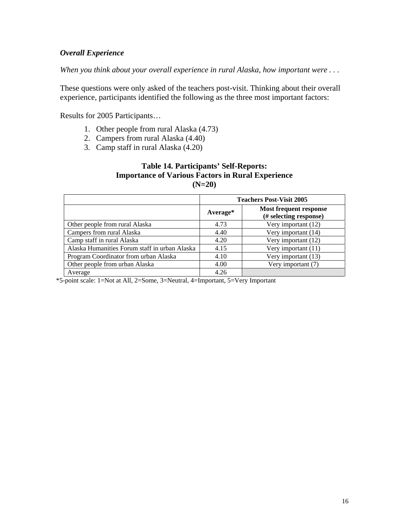# *Overall Experience*

*When you think about your overall experience in rural Alaska, how important were . . .* 

These questions were only asked of the teachers post-visit. Thinking about their overall experience, participants identified the following as the three most important factors:

Results for 2005 Participants…

- 1. Other people from rural Alaska (4.73)
- 2. Campers from rural Alaska (4.40)
- 3. Camp staff in rural Alaska (4.20)

## **Table 14. Participants' Self-Reports: Importance of Various Factors in Rural Experience (N=20)**

|                                               | <b>Teachers Post-Visit 2005</b> |                                                  |  |
|-----------------------------------------------|---------------------------------|--------------------------------------------------|--|
|                                               | Average*                        | Most frequent response<br>(# selecting response) |  |
| Other people from rural Alaska                | 4.73                            | Very important (12)                              |  |
| Campers from rural Alaska                     | 4.40                            | Very important (14)                              |  |
| Camp staff in rural Alaska                    | 4.20                            | Very important (12)                              |  |
| Alaska Humanities Forum staff in urban Alaska | 4.15                            | Very important (11)                              |  |
| Program Coordinator from urban Alaska         | 4.10                            | Very important (13)                              |  |
| Other people from urban Alaska                | 4.00                            | Very important (7)                               |  |
| Average                                       | 4.26                            |                                                  |  |

\*5-point scale: 1=Not at All, 2=Some, 3=Neutral, 4=Important, 5=Very Important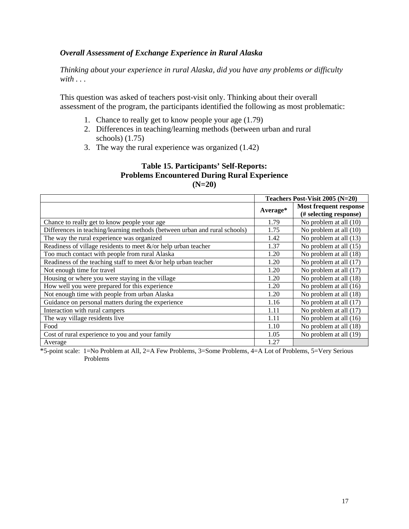## *Overall Assessment of Exchange Experience in Rural Alaska*

*Thinking about your experience in rural Alaska, did you have any problems or difficulty with . . .* 

This question was asked of teachers post-visit only. Thinking about their overall assessment of the program, the participants identified the following as most problematic:

- 1. Chance to really get to know people your age (1.79)
- 2. Differences in teaching/learning methods (between urban and rural schools) (1.75)
- 3. The way the rural experience was organized (1.42)

#### **Table 15. Participants' Self-Reports: Problems Encountered During Rural Experience (N=20)**

|                                                                            | Teachers Post-Visit 2005 (N=20) |                                                  |
|----------------------------------------------------------------------------|---------------------------------|--------------------------------------------------|
|                                                                            | Average*                        | Most frequent response<br>(# selecting response) |
| Chance to really get to know people your age                               | 1.79                            | No problem at all (10)                           |
| Differences in teaching/learning methods (between urban and rural schools) | 1.75                            | No problem at all (10)                           |
| The way the rural experience was organized                                 | 1.42                            | No problem at all (13)                           |
| Readiness of village residents to meet $\&$ /or help urban teacher         | 1.37                            | No problem at all (15)                           |
| Too much contact with people from rural Alaska                             | 1.20                            | No problem at all (18)                           |
| Readiness of the teaching staff to meet $\&$ /or help urban teacher        | 1.20                            | No problem at all (17)                           |
| Not enough time for travel                                                 | 1.20                            | No problem at all (17)                           |
| Housing or where you were staying in the village                           | 1.20                            | No problem at all (18)                           |
| How well you were prepared for this experience                             | 1.20                            | No problem at all (16)                           |
| Not enough time with people from urban Alaska                              | 1.20                            | No problem at all (18)                           |
| Guidance on personal matters during the experience                         | 1.16                            | No problem at all (17)                           |
| Interaction with rural campers                                             | 1.11                            | No problem at all (17)                           |
| The way village residents live                                             | 1.11                            | No problem at all (16)                           |
| Food                                                                       | 1.10                            | No problem at all (18)                           |
| Cost of rural experience to you and your family                            | 1.05                            | No problem at all (19)                           |
| Average                                                                    | 1.27                            |                                                  |

\*5-point scale: 1=No Problem at All, 2=A Few Problems, 3=Some Problems, 4=A Lot of Problems, 5=Very Serious Problems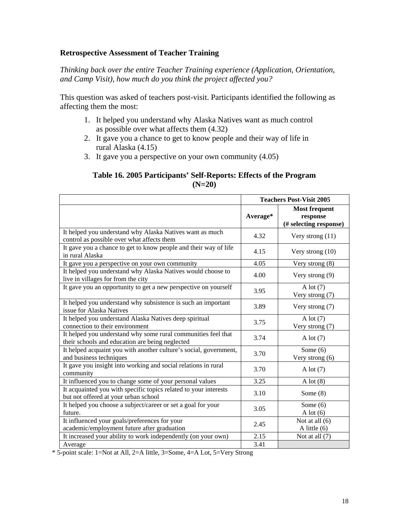## **Retrospective Assessment of Teacher Training**

*Thinking back over the entire Teacher Training experience (Application, Orientation, and Camp Visit), how much do you think the project affected you?* 

This question was asked of teachers post-visit. Participants identified the following as affecting them the most:

- 1. It helped you understand why Alaska Natives want as much control as possible over what affects them (4.32)
- 2. It gave you a chance to get to know people and their way of life in rural Alaska (4.15)
- 3. It gave you a perspective on your own community (4.05)

#### **Table 16. 2005 Participants' Self-Reports: Effects of the Program (N=20)**

|                                                                                                                  | <b>Teachers Post-Visit 2005</b> |                                                            |
|------------------------------------------------------------------------------------------------------------------|---------------------------------|------------------------------------------------------------|
|                                                                                                                  | Average*                        | <b>Most frequent</b><br>response<br>(# selecting response) |
| It helped you understand why Alaska Natives want as much<br>control as possible over what affects them           | 4.32                            | Very strong $(11)$                                         |
| It gave you a chance to get to know people and their way of life<br>in rural Alaska                              | 4.15                            | Very strong $(10)$                                         |
| It gave you a perspective on your own community                                                                  | 4.05                            | Very strong (8)                                            |
| It helped you understand why Alaska Natives would choose to<br>live in villages for from the city                | 4.00                            | Very strong $(9)$                                          |
| It gave you an opportunity to get a new perspective on yourself                                                  | 3.95                            | A lot $(7)$<br>Very strong (7)                             |
| It helped you understand why subsistence is such an important<br>issue for Alaska Natives                        | 3.89                            | Very strong (7)                                            |
| It helped you understand Alaska Natives deep spiritual<br>connection to their environment                        | 3.75                            | A lot $(7)$<br>Very strong (7)                             |
| It helped you understand why some rural communities feel that<br>their schools and education are being neglected | 3.74                            | A lot $(7)$                                                |
| It helped acquaint you with another culture's social, government,<br>and business techniques                     | 3.70                            | Some $(6)$<br>Very strong (6)                              |
| It gave you insight into working and social relations in rural<br>community                                      | 3.70                            | A lot $(7)$                                                |
| It influenced you to change some of your personal values                                                         | 3.25                            | A lot $(8)$                                                |
| It acquainted you with specific topics related to your interests<br>but not offered at your urban school         | 3.10                            | Some $(8)$                                                 |
| It helped you choose a subject/career or set a goal for your<br>future.                                          | 3.05                            | Some $(6)$<br>A lot $(6)$                                  |
| It influenced your goals/preferences for your<br>academic/employment future after graduation                     | 2.45                            | Not at all $(6)$<br>A little $(6)$                         |
| It increased your ability to work independently (on your own)                                                    | 2.15                            | Not at all (7)                                             |
| Average                                                                                                          | 3.41                            |                                                            |

\* 5-point scale: 1=Not at All, 2=A little, 3=Some, 4=A Lot, 5=Very Strong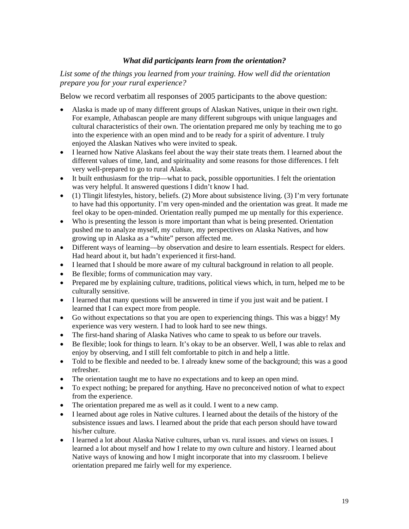## *What did participants learn from the orientation?*

*List some of the things you learned from your training. How well did the orientation prepare you for your rural experience?*

Below we record verbatim all responses of 2005 participants to the above question:

- Alaska is made up of many different groups of Alaskan Natives, unique in their own right. For example, Athabascan people are many different subgroups with unique languages and cultural characteristics of their own. The orientation prepared me only by teaching me to go into the experience with an open mind and to be ready for a spirit of adventure. I truly enjoyed the Alaskan Natives who were invited to speak.
- I learned how Native Alaskans feel about the way their state treats them. I learned about the different values of time, land, and spirituality and some reasons for those differences. I felt very well-prepared to go to rural Alaska.
- It built enthusiasm for the trip—what to pack, possible opportunities. I felt the orientation was very helpful. It answered questions I didn't know I had.
- (1) Tlingit lifestyles, history, beliefs. (2) More about subsistence living. (3) I'm very fortunate to have had this opportunity. I'm very open-minded and the orientation was great. It made me feel okay to be open-minded. Orientation really pumped me up mentally for this experience.
- Who is presenting the lesson is more important than what is being presented. Orientation pushed me to analyze myself, my culture, my perspectives on Alaska Natives, and how growing up in Alaska as a "white" person affected me.
- Different ways of learning—by observation and desire to learn essentials. Respect for elders. Had heard about it, but hadn't experienced it first-hand.
- I learned that I should be more aware of my cultural background in relation to all people.
- Be flexible; forms of communication may vary.
- Prepared me by explaining culture, traditions, political views which, in turn, helped me to be culturally sensitive.
- I learned that many questions will be answered in time if you just wait and be patient. I learned that I can expect more from people.
- Go without expectations so that you are open to experiencing things. This was a biggy! My experience was very western. I had to look hard to see new things.
- The first-hand sharing of Alaska Natives who came to speak to us before our travels.
- Be flexible; look for things to learn. It's okay to be an observer. Well, I was able to relax and enjoy by observing, and I still felt comfortable to pitch in and help a little.
- Told to be flexible and needed to be. I already knew some of the background; this was a good refresher.
- The orientation taught me to have no expectations and to keep an open mind.
- To expect nothing; be prepared for anything. Have no preconceived notion of what to expect from the experience.
- The orientation prepared me as well as it could. I went to a new camp.
- I learned about age roles in Native cultures. I learned about the details of the history of the subsistence issues and laws. I learned about the pride that each person should have toward his/her culture.
- I learned a lot about Alaska Native cultures, urban vs. rural issues, and views on issues. I learned a lot about myself and how I relate to my own culture and history. I learned about Native ways of knowing and how I might incorporate that into my classroom. I believe orientation prepared me fairly well for my experience.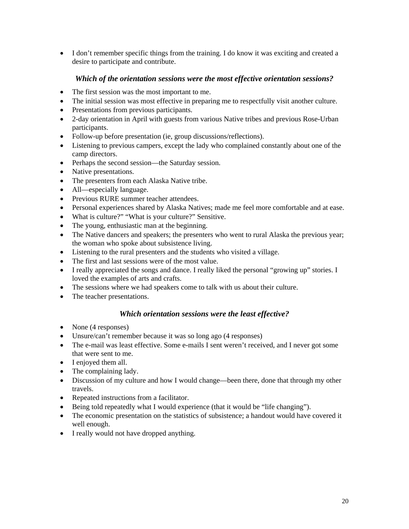• I don't remember specific things from the training. I do know it was exciting and created a desire to participate and contribute.

## *Which of the orientation sessions were the most effective orientation sessions?*

- The first session was the most important to me.
- The initial session was most effective in preparing me to respectfully visit another culture.
- Presentations from previous participants.
- 2-day orientation in April with guests from various Native tribes and previous Rose-Urban participants.
- Follow-up before presentation (ie, group discussions/reflections).
- Listening to previous campers, except the lady who complained constantly about one of the camp directors.
- Perhaps the second session—the Saturday session.
- Native presentations.
- The presenters from each Alaska Native tribe.
- All—especially language.
- Previous RURE summer teacher attendees.
- Personal experiences shared by Alaska Natives; made me feel more comfortable and at ease.
- What is culture?" "What is your culture?" Sensitive.
- The young, enthusiastic man at the beginning.
- The Native dancers and speakers; the presenters who went to rural Alaska the previous year; the woman who spoke about subsistence living.
- Listening to the rural presenters and the students who visited a village.
- The first and last sessions were of the most value.
- I really appreciated the songs and dance. I really liked the personal "growing up" stories. I loved the examples of arts and crafts.
- The sessions where we had speakers come to talk with us about their culture.
- The teacher presentations.

## *Which orientation sessions were the least effective?*

- None (4 responses)
- Unsure/can't remember because it was so long ago (4 responses)
- The e-mail was least effective. Some e-mails I sent weren't received, and I never got some that were sent to me.
- I enjoyed them all.
- The complaining lady.
- Discussion of my culture and how I would change—been there, done that through my other travels.
- Repeated instructions from a facilitator.
- Being told repeatedly what I would experience (that it would be "life changing").
- The economic presentation on the statistics of subsistence; a handout would have covered it well enough.
- I really would not have dropped anything.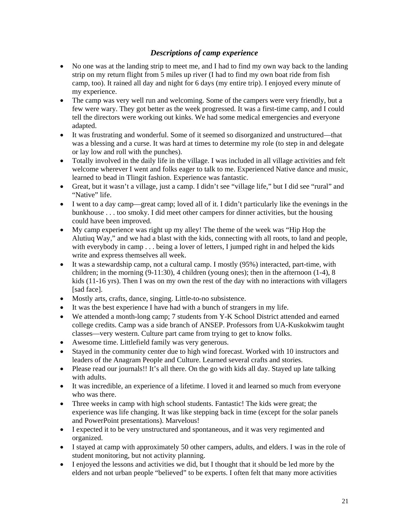# *Descriptions of camp experience*

- No one was at the landing strip to meet me, and I had to find my own way back to the landing strip on my return flight from 5 miles up river (I had to find my own boat ride from fish camp, too). It rained all day and night for 6 days (my entire trip). I enjoyed every minute of my experience.
- The camp was very well run and welcoming. Some of the campers were very friendly, but a few were wary. They got better as the week progressed. It was a first-time camp, and I could tell the directors were working out kinks. We had some medical emergencies and everyone adapted.
- It was frustrating and wonderful. Some of it seemed so disorganized and unstructured—that was a blessing and a curse. It was hard at times to determine my role (to step in and delegate or lay low and roll with the punches).
- Totally involved in the daily life in the village. I was included in all village activities and felt welcome wherever I went and folks eager to talk to me. Experienced Native dance and music, learned to bead in Tlingit fashion. Experience was fantastic.
- Great, but it wasn't a village, just a camp. I didn't see "village life," but I did see "rural" and "Native" life.
- I went to a day camp—great camp; loved all of it. I didn't particularly like the evenings in the bunkhouse . . . too smoky. I did meet other campers for dinner activities, but the housing could have been improved.
- My camp experience was right up my alley! The theme of the week was "Hip Hop the Alutiuq Way," and we had a blast with the kids, connecting with all roots, to land and people, with everybody in camp . . . being a lover of letters, I jumped right in and helped the kids write and express themselves all week.
- It was a stewardship camp, not a cultural camp. I mostly (95%) interacted, part-time, with children; in the morning  $(9-11:30)$ , 4 children (young ones); then in the afternoon  $(1-4)$ , 8 kids (11-16 yrs). Then I was on my own the rest of the day with no interactions with villagers [sad face].
- Mostly arts, crafts, dance, singing. Little-to-no subsistence.
- It was the best experience I have had with a bunch of strangers in my life.
- We attended a month-long camp; 7 students from Y-K School District attended and earned college credits. Camp was a side branch of ANSEP. Professors from UA-Kuskokwim taught classes—very western. Culture part came from trying to get to know folks.
- Awesome time. Littlefield family was very generous.
- Stayed in the community center due to high wind forecast. Worked with 10 instructors and leaders of the Anagram People and Culture. Learned several crafts and stories.
- Please read our journals!! It's all there. On the go with kids all day. Stayed up late talking with adults.
- It was incredible, an experience of a lifetime. I loved it and learned so much from everyone who was there.
- Three weeks in camp with high school students. Fantastic! The kids were great; the experience was life changing. It was like stepping back in time (except for the solar panels and PowerPoint presentations). Marvelous!
- I expected it to be very unstructured and spontaneous, and it was very regimented and organized.
- I stayed at camp with approximately 50 other campers, adults, and elders. I was in the role of student monitoring, but not activity planning.
- I enjoyed the lessons and activities we did, but I thought that it should be led more by the elders and not urban people "believed" to be experts. I often felt that many more activities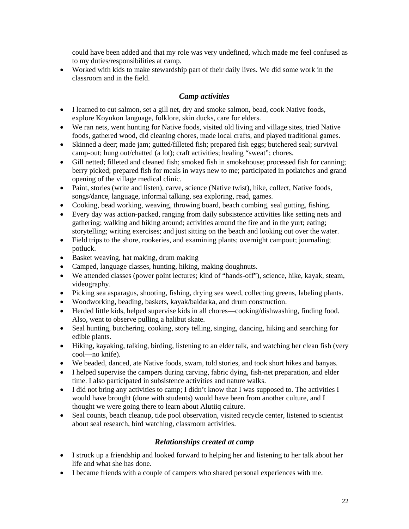could have been added and that my role was very undefined, which made me feel confused as to my duties/responsibilities at camp.

• Worked with kids to make stewardship part of their daily lives. We did some work in the classroom and in the field.

## *Camp activities*

- I learned to cut salmon, set a gill net, dry and smoke salmon, bead, cook Native foods, explore Koyukon language, folklore, skin ducks, care for elders.
- We ran nets, went hunting for Native foods, visited old living and village sites, tried Native foods, gathered wood, did cleaning chores, made local crafts, and played traditional games.
- Skinned a deer; made jam; gutted/filleted fish; prepared fish eggs; butchered seal; survival camp-out; hung out/chatted (a lot); craft activities; healing "sweat"; chores.
- Gill netted; filleted and cleaned fish; smoked fish in smokehouse; processed fish for canning; berry picked; prepared fish for meals in ways new to me; participated in potlatches and grand opening of the village medical clinic.
- Paint, stories (write and listen), carve, science (Native twist), hike, collect, Native foods, songs/dance, language, informal talking, sea exploring, read, games.
- Cooking, bead working, weaving, throwing board, beach combing, seal gutting, fishing.
- Every day was action-packed, ranging from daily subsistence activities like setting nets and gathering; walking and hiking around; activities around the fire and in the yurt; eating; storytelling; writing exercises; and just sitting on the beach and looking out over the water.
- Field trips to the shore, rookeries, and examining plants; overnight campout; journaling; potluck.
- Basket weaving, hat making, drum making
- Camped, language classes, hunting, hiking, making doughnuts.
- We attended classes (power point lectures; kind of "hands-off"), science, hike, kayak, steam, videography.
- Picking sea asparagus, shooting, fishing, drying sea weed, collecting greens, labeling plants.
- Woodworking, beading, baskets, kayak/baidarka, and drum construction.
- Herded little kids, helped supervise kids in all chores—cooking/dishwashing, finding food. Also, went to observe pulling a halibut skate.
- Seal hunting, butchering, cooking, story telling, singing, dancing, hiking and searching for edible plants.
- Hiking, kayaking, talking, birding, listening to an elder talk, and watching her clean fish (very cool—no knife).
- We beaded, danced, ate Native foods, swam, told stories, and took short hikes and banyas.
- I helped supervise the campers during carving, fabric dying, fish-net preparation, and elder time. I also participated in subsistence activities and nature walks.
- I did not bring any activities to camp; I didn't know that I was supposed to. The activities I would have brought (done with students) would have been from another culture, and I thought we were going there to learn about Alutiiq culture.
- Seal counts, beach cleanup, tide pool observation, visited recycle center, listened to scientist about seal research, bird watching, classroom activities.

## *Relationships created at camp*

- I struck up a friendship and looked forward to helping her and listening to her talk about her life and what she has done.
- I became friends with a couple of campers who shared personal experiences with me.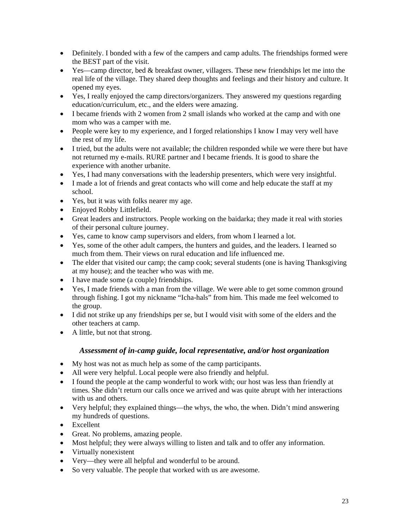- Definitely. I bonded with a few of the campers and camp adults. The friendships formed were the BEST part of the visit.
- Yes—camp director, bed  $&$  breakfast owner, villagers. These new friendships let me into the real life of the village. They shared deep thoughts and feelings and their history and culture. It opened my eyes.
- Yes, I really enjoyed the camp directors/organizers. They answered my questions regarding education/curriculum, etc., and the elders were amazing.
- I became friends with 2 women from 2 small islands who worked at the camp and with one mom who was a camper with me.
- People were key to my experience, and I forged relationships I know I may very well have the rest of my life.
- I tried, but the adults were not available; the children responded while we were there but have not returned my e-mails. RURE partner and I became friends. It is good to share the experience with another urbanite.
- Yes, I had many conversations with the leadership presenters, which were very insightful.
- I made a lot of friends and great contacts who will come and help educate the staff at my school.
- Yes, but it was with folks nearer my age.
- Enjoyed Robby Littlefield.
- Great leaders and instructors. People working on the baidarka; they made it real with stories of their personal culture journey.
- Yes, came to know camp supervisors and elders, from whom I learned a lot.
- Yes, some of the other adult campers, the hunters and guides, and the leaders. I learned so much from them. Their views on rural education and life influenced me.
- The elder that visited our camp; the camp cook; several students (one is having Thanksgiving at my house); and the teacher who was with me.
- I have made some (a couple) friendships.
- Yes, I made friends with a man from the village. We were able to get some common ground through fishing. I got my nickname "Icha-hals" from him. This made me feel welcomed to the group.
- I did not strike up any friendships per se, but I would visit with some of the elders and the other teachers at camp.
- A little, but not that strong.

## *Assessment of in-camp guide, local representative, and/or host organization*

- My host was not as much help as some of the camp participants.
- All were very helpful. Local people were also friendly and helpful.
- I found the people at the camp wonderful to work with; our host was less than friendly at times. She didn't return our calls once we arrived and was quite abrupt with her interactions with us and others.
- Very helpful; they explained things—the whys, the who, the when. Didn't mind answering my hundreds of questions.
- Excellent
- Great. No problems, amazing people.
- Most helpful; they were always willing to listen and talk and to offer any information.
- Virtually nonexistent
- Very—they were all helpful and wonderful to be around.
- So very valuable. The people that worked with us are awesome.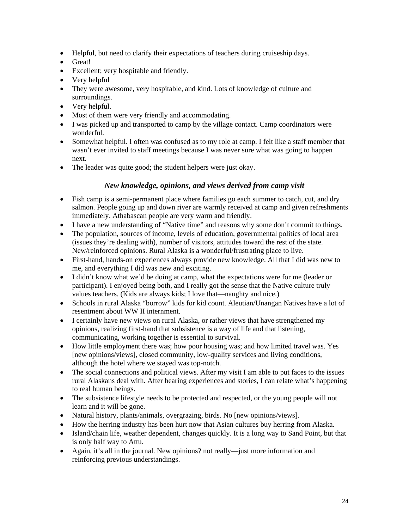- Helpful, but need to clarify their expectations of teachers during cruiseship days.
- Great!
- Excellent; very hospitable and friendly.
- Very helpful
- They were awesome, very hospitable, and kind. Lots of knowledge of culture and surroundings.
- Very helpful.
- Most of them were very friendly and accommodating.
- I was picked up and transported to camp by the village contact. Camp coordinators were wonderful.
- Somewhat helpful. I often was confused as to my role at camp. I felt like a staff member that wasn't ever invited to staff meetings because I was never sure what was going to happen next.
- The leader was quite good; the student helpers were just okay.

## *New knowledge, opinions, and views derived from camp visit*

- Fish camp is a semi-permanent place where families go each summer to catch, cut, and dry salmon. People going up and down river are warmly received at camp and given refreshments immediately. Athabascan people are very warm and friendly.
- I have a new understanding of "Native time" and reasons why some don't commit to things.
- The population, sources of income, levels of education, governmental politics of local area (issues they're dealing with), number of visitors, attitudes toward the rest of the state. New/reinforced opinions. Rural Alaska is a wonderful/frustrating place to live.
- First-hand, hands-on experiences always provide new knowledge. All that I did was new to me, and everything I did was new and exciting.
- I didn't know what we'd be doing at camp, what the expectations were for me (leader or participant). I enjoyed being both, and I really got the sense that the Native culture truly values teachers. (Kids are always kids; I love that—naughty and nice.)
- Schools in rural Alaska "borrow" kids for kid count. Aleutian/Unangan Natives have a lot of resentment about WW II internment.
- I certainly have new views on rural Alaska, or rather views that have strengthened my opinions, realizing first-hand that subsistence is a way of life and that listening, communicating, working together is essential to survival.
- How little employment there was; how poor housing was; and how limited travel was. Yes [new opinions/views], closed community, low-quality services and living conditions, although the hotel where we stayed was top-notch.
- The social connections and political views. After my visit I am able to put faces to the issues rural Alaskans deal with. After hearing experiences and stories, I can relate what's happening to real human beings.
- The subsistence lifestyle needs to be protected and respected, or the young people will not learn and it will be gone.
- Natural history, plants/animals, overgrazing, birds. No [new opinions/views].
- How the herring industry has been hurt now that Asian cultures buy herring from Alaska.
- Island/chain life, weather dependent, changes quickly. It is a long way to Sand Point, but that is only half way to Attu.
- Again, it's all in the journal. New opinions? not really—just more information and reinforcing previous understandings.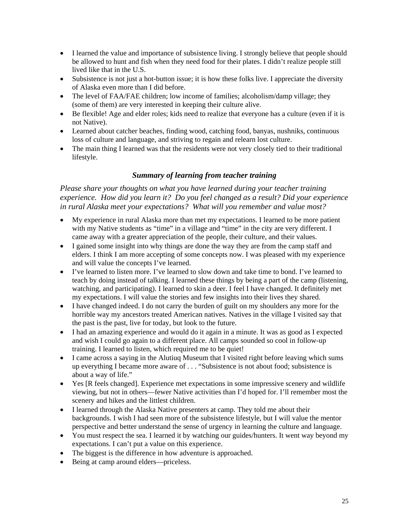- I learned the value and importance of subsistence living. I strongly believe that people should be allowed to hunt and fish when they need food for their plates. I didn't realize people still lived like that in the U.S.
- Subsistence is not just a hot-button issue; it is how these folks live. I appreciate the diversity of Alaska even more than I did before.
- The level of FAA/FAE children; low income of families; alcoholism/damp village; they (some of them) are very interested in keeping their culture alive.
- Be flexible! Age and elder roles; kids need to realize that everyone has a culture (even if it is not Native).
- Learned about catcher beaches, finding wood, catching food, banyas, nushniks, continuous loss of culture and language, and striving to regain and relearn lost culture.
- The main thing I learned was that the residents were not very closely tied to their traditional lifestyle.

## *Summary of learning from teacher training*

*Please share your thoughts on what you have learned during your teacher training experience. How did you learn it? Do you feel changed as a result? Did your experience in rural Alaska meet your expectations? What will you remember and value most?* 

- My experience in rural Alaska more than met my expectations. I learned to be more patient with my Native students as "time" in a village and "time" in the city are very different. I came away with a greater appreciation of the people, their culture, and their values.
- I gained some insight into why things are done the way they are from the camp staff and elders. I think I am more accepting of some concepts now. I was pleased with my experience and will value the concepts I've learned.
- I've learned to listen more. I've learned to slow down and take time to bond. I've learned to teach by doing instead of talking. I learned these things by being a part of the camp (listening, watching, and participating). I learned to skin a deer. I feel I have changed. It definitely met my expectations. I will value the stories and few insights into their lives they shared.
- I have changed indeed. I do not carry the burden of guilt on my shoulders any more for the horrible way my ancestors treated American natives. Natives in the village I visited say that the past is the past, live for today, but look to the future.
- I had an amazing experience and would do it again in a minute. It was as good as I expected and wish I could go again to a different place. All camps sounded so cool in follow-up training. I learned to listen, which required me to be quiet!
- I came across a saying in the Alutiuq Museum that I visited right before leaving which sums up everything I became more aware of . . . "Subsistence is not about food; subsistence is about a way of life."
- Yes [R feels changed]. Experience met expectations in some impressive scenery and wildlife viewing, but not in others—fewer Native activities than I'd hoped for. I'll remember most the scenery and hikes and the littlest children.
- I learned through the Alaska Native presenters at camp. They told me about their backgrounds. I wish I had seen more of the subsistence lifestyle, but I will value the mentor perspective and better understand the sense of urgency in learning the culture and language.
- You must respect the sea. I learned it by watching our guides/hunters. It went way beyond my expectations. I can't put a value on this experience.
- The biggest is the difference in how adventure is approached.
- Being at camp around elders—priceless.